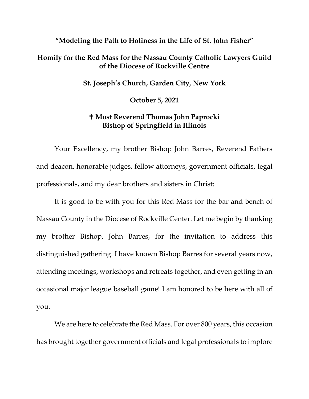## **"Modeling the Path to Holiness in the Life of St. John Fisher"**

## **Homily for the Red Mass for the Nassau County Catholic Lawyers Guild of the Diocese of Rockville Centre**

**St. Joseph's Church, Garden City, New York**

**October 5, 2021**

## **Most Reverend Thomas John Paprocki Bishop of Springfield in Illinois**

Your Excellency, my brother Bishop John Barres, Reverend Fathers and deacon, honorable judges, fellow attorneys, government officials, legal professionals, and my dear brothers and sisters in Christ:

It is good to be with you for this Red Mass for the bar and bench of Nassau County in the Diocese of Rockville Center. Let me begin by thanking my brother Bishop, John Barres, for the invitation to address this distinguished gathering. I have known Bishop Barres for several years now, attending meetings, workshops and retreats together, and even getting in an occasional major league baseball game! I am honored to be here with all of you.

We are here to celebrate the Red Mass. For over 800 years, this occasion has brought together government officials and legal professionals to implore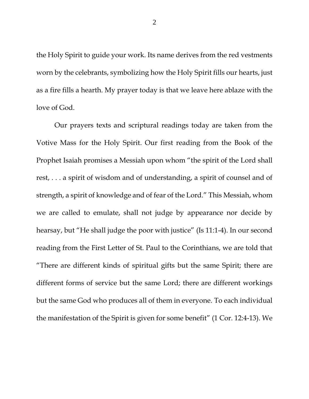the Holy Spirit to guide your work. Its name derives from the red vestments worn by the celebrants, symbolizing how the Holy Spirit fills our hearts, just as a fire fills a hearth. My prayer today is that we leave here ablaze with the love of God.

Our prayers texts and scriptural readings today are taken from the Votive Mass for the Holy Spirit. Our first reading from the Book of the Prophet Isaiah promises a Messiah upon whom "the spirit of the Lord shall rest, . . . a spirit of wisdom and of understanding, a spirit of counsel and of strength, a spirit of knowledge and of fear of the Lord." This Messiah, whom we are called to emulate, shall not judge by appearance nor decide by hearsay, but "He shall judge the poor with justice" (Is 11:1-4). In our second reading from the First Letter of St. Paul to the Corinthians, we are told that "There are different kinds of spiritual gifts but the same Spirit; there are different forms of service but the same Lord; there are different workings but the same God who produces all of them in everyone. To each individual the manifestation of the Spirit is given for some benefit" (1 Cor. 12:4-13). We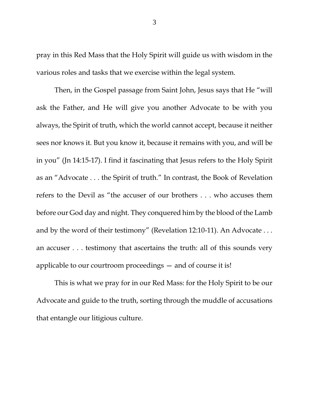pray in this Red Mass that the Holy Spirit will guide us with wisdom in the various roles and tasks that we exercise within the legal system.

Then, in the Gospel passage from Saint John, Jesus says that He "will ask the Father, and He will give you another Advocate to be with you always, the Spirit of truth, which the world cannot accept, because it neither sees nor knows it. But you know it, because it remains with you, and will be in you" (Jn 14:15-17). I find it fascinating that Jesus refers to the Holy Spirit as an "Advocate . . . the Spirit of truth." In contrast, the Book of Revelation refers to the Devil as "the accuser of our brothers . . . who accuses them before our God day and night. They conquered him by the blood of the Lamb and by the word of their testimony" (Revelation 12:10-11). An Advocate ... an accuser . . . testimony that ascertains the truth: all of this sounds very applicable to our courtroom proceedings — and of course it is!

This is what we pray for in our Red Mass: for the Holy Spirit to be our Advocate and guide to the truth, sorting through the muddle of accusations that entangle our litigious culture.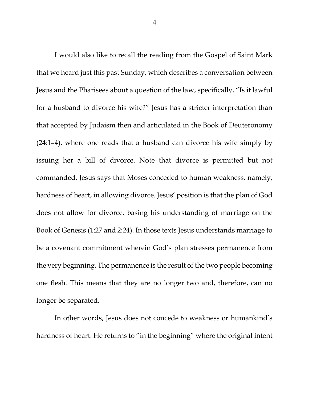I would also like to recall the reading from the Gospel of Saint Mark that we heard just this past Sunday, which describes a conversation between Jesus and the Pharisees about a question of the law, specifically, "Is it lawful for a husband to divorce his wife?" Jesus has a stricter interpretation than that accepted by Judaism then and articulated in the Book of Deuteronomy (24:1–4), where one reads that a husband can divorce his wife simply by issuing her a bill of divorce. Note that divorce is permitted but not commanded. Jesus says that Moses conceded to human weakness, namely, hardness of heart, in allowing divorce. Jesus' position is that the plan of God does not allow for divorce, basing his understanding of marriage on the Book of Genesis (1:27 and 2:24). In those texts Jesus understands marriage to be a covenant commitment wherein God's plan stresses permanence from the very beginning. The permanence is the result of the two people becoming one flesh. This means that they are no longer two and, therefore, can no longer be separated.

In other words, Jesus does not concede to weakness or humankind's hardness of heart. He returns to "in the beginning" where the original intent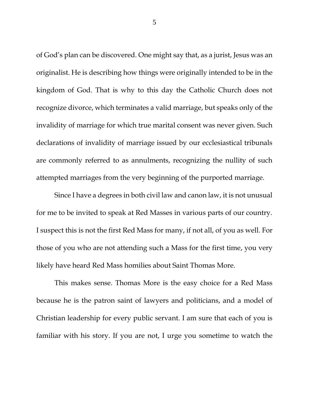of God's plan can be discovered. One might say that, as a jurist, Jesus was an originalist. He is describing how things were originally intended to be in the kingdom of God. That is why to this day the Catholic Church does not recognize divorce, which terminates a valid marriage, but speaks only of the invalidity of marriage for which true marital consent was never given. Such declarations of invalidity of marriage issued by our ecclesiastical tribunals are commonly referred to as annulments, recognizing the nullity of such attempted marriages from the very beginning of the purported marriage.

Since I have a degrees in both civil law and canon law, it is not unusual for me to be invited to speak at Red Masses in various parts of our country. I suspect this is not the first Red Mass for many, if not all, of you as well. For those of you who are not attending such a Mass for the first time, you very likely have heard Red Mass homilies about Saint Thomas More.

This makes sense. Thomas More is the easy choice for a Red Mass because he is the patron saint of lawyers and politicians, and a model of Christian leadership for every public servant. I am sure that each of you is familiar with his story. If you are not, I urge you sometime to watch the

5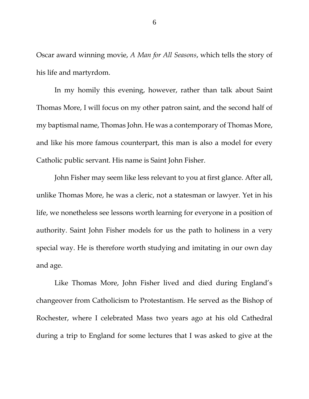Oscar award winning movie, *A Man for All Seasons*, which tells the story of his life and martyrdom.

In my homily this evening, however, rather than talk about Saint Thomas More, I will focus on my other patron saint, and the second half of my baptismal name, Thomas John. He was a contemporary of Thomas More, and like his more famous counterpart, this man is also a model for every Catholic public servant. His name is Saint John Fisher.

John Fisher may seem like less relevant to you at first glance. After all, unlike Thomas More, he was a cleric, not a statesman or lawyer. Yet in his life, we nonetheless see lessons worth learning for everyone in a position of authority. Saint John Fisher models for us the path to holiness in a very special way. He is therefore worth studying and imitating in our own day and age.

Like Thomas More, John Fisher lived and died during England's changeover from Catholicism to Protestantism. He served as the Bishop of Rochester, where I celebrated Mass two years ago at his old Cathedral during a trip to England for some lectures that I was asked to give at the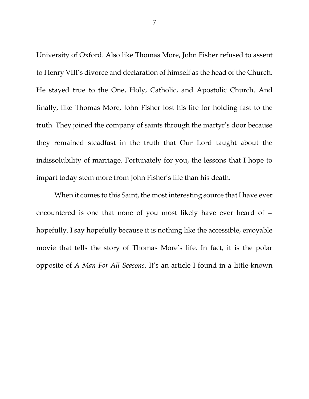University of Oxford. Also like Thomas More, John Fisher refused to assent to Henry VIII's divorce and declaration of himself as the head of the Church. He stayed true to the One, Holy, Catholic, and Apostolic Church. And finally, like Thomas More, John Fisher lost his life for holding fast to the truth. They joined the company of saints through the martyr's door because they remained steadfast in the truth that Our Lord taught about the indissolubility of marriage. Fortunately for you, the lessons that I hope to impart today stem more from John Fisher's life than his death.

When it comes to this Saint, the most interesting source that I have ever encountered is one that none of you most likely have ever heard of - hopefully. I say hopefully because it is nothing like the accessible, enjoyable movie that tells the story of Thomas More's life. In fact, it is the polar opposite of *A Man For All Seasons*. It's an article I found in a little-known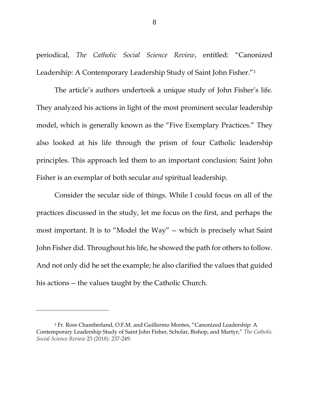periodical, *The Catholic Social Science Review*, entitled: "Canonized Leadership: A Contemporary Leadership Study of Saint John Fisher."<sup>1</sup>

The article's authors undertook a unique study of John Fisher's life. They analyzed his actions in light of the most prominent secular leadership model, which is generally known as the "Five Exemplary Practices." They also looked at his life through the prism of four Catholic leadership principles. This approach led them to an important conclusion: Saint John Fisher is an exemplar of both secular *and* spiritual leadership.

Consider the secular side of things. While I could focus on all of the practices discussed in the study, let me focus on the first, and perhaps the most important. It is to "Model the Way" -- which is precisely what Saint John Fisher did. Throughout his life, he showed the path for others to follow. And not only did he set the example; he also clarified the values that guided his actions -- the values taught by the Catholic Church.

<sup>1</sup> Fr. Ross Chamberland, O.F.M. and Guillermo Montes, "Canonized Leadership: A Contemporary Leadership Study of Saint John Fisher, Scholar, Bishop, and Martyr," *The Catholic Social Science Review* 23 (2018): 237-249.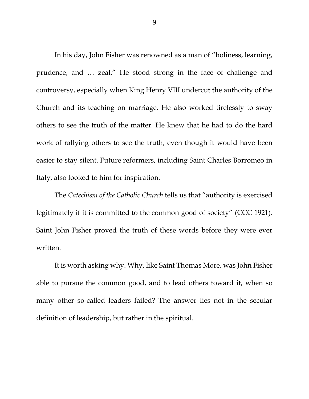In his day, John Fisher was renowned as a man of "holiness, learning, prudence, and … zeal." He stood strong in the face of challenge and controversy, especially when King Henry VIII undercut the authority of the Church and its teaching on marriage. He also worked tirelessly to sway others to see the truth of the matter. He knew that he had to do the hard work of rallying others to see the truth, even though it would have been easier to stay silent. Future reformers, including Saint Charles Borromeo in Italy, also looked to him for inspiration.

The *Catechism of the Catholic Church* tells us that "authority is exercised legitimately if it is committed to the common good of society" (CCC 1921). Saint John Fisher proved the truth of these words before they were ever written.

It is worth asking why. Why, like Saint Thomas More, was John Fisher able to pursue the common good, and to lead others toward it, when so many other so-called leaders failed? The answer lies not in the secular definition of leadership, but rather in the spiritual.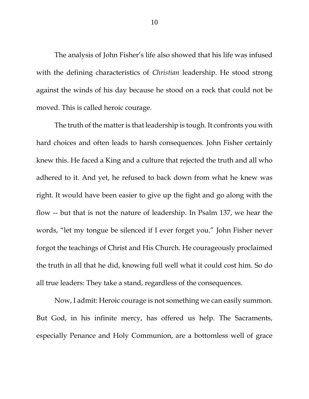The analysis of John Fisher's life also showed that his life was infused with the defining characteristics of *Christian* leadership. He stood strong against the winds of his day because he stood on a rock that could not be moved. This is called heroic courage.

The truth of the matter is that leadership is tough. It confronts you with hard choices and often leads to harsh consequences. John Fisher certainly knew this. He faced a King and a culture that rejected the truth and all who adhered to it. And yet, he refused to back down from what he knew was right. It would have been easier to give up the fight and go along with the flow -- but that is not the nature of leadership. In Psalm 137, we hear the words, "let my tongue be silenced if I ever forget you." John Fisher never forgot the teachings of Christ and His Church. He courageously proclaimed the truth in all that he did, knowing full well what it could cost him. So do all true leaders: They take a stand, regardless of the consequences.

Now, I admit: Heroic courage is not something we can easily summon. But God, in his infinite mercy, has offered us help. The Sacraments, especially Penance and Holy Communion, are a bottomless well of grace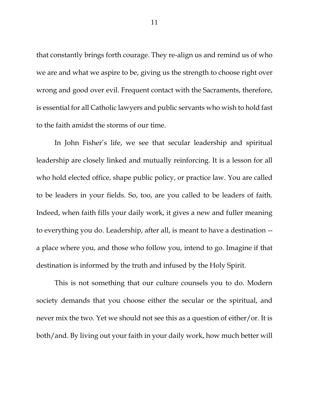that constantly brings forth courage. They re-align us and remind us of who we are and what we aspire to be, giving us the strength to choose right over wrong and good over evil. Frequent contact with the Sacraments, therefore, is essential for all Catholic lawyers and public servants who wish to hold fast to the faith amidst the storms of our time.

In John Fisher's life, we see that secular leadership and spiritual leadership are closely linked and mutually reinforcing. It is a lesson for all who hold elected office, shape public policy, or practice law. You are called to be leaders in your fields. So, too, are you called to be leaders of faith. Indeed, when faith fills your daily work, it gives a new and fuller meaning to everything you do. Leadership, after all, is meant to have a destination - a place where you, and those who follow you, intend to go. Imagine if that destination is informed by the truth and infused by the Holy Spirit.

This is not something that our culture counsels you to do. Modern society demands that you choose either the secular or the spiritual, and never mix the two. Yet we should not see this as a question of either/or. It is both/and. By living out your faith in your daily work, how much better will

11